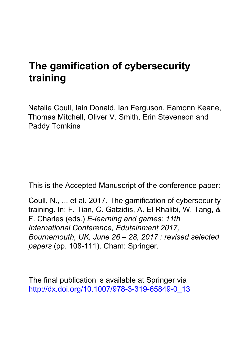# **The gamification of cybersecurity training**

Natalie Coull, Iain Donald, Ian Ferguson, Eamonn Keane, Thomas Mitchell, Oliver V. Smith, Erin Stevenson and Paddy Tomkins

This is the Accepted Manuscript of the conference paper:

Coull, N., ... et al. 2017. The gamification of cybersecurity training. In: F. Tian, C. Gatzidis, A. El Rhalibi, W. Tang, & F. Charles (eds.) *E-learning and games: 11th International Conference, Edutainment 2017, Bournemouth, UK, June 26 – 28, 2017 : revised selected papers* (pp. 108-111). Cham: Springer.

The final publication is available at Springer via [http://dx.doi.org/10.1007/978-3-319-65849-0\\_13](http://dx.doi.org/10.1007/978-3-319-65849-0_13)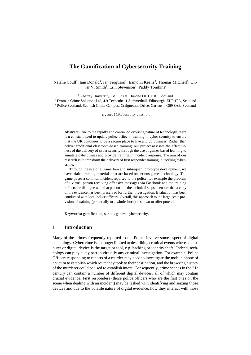## **The Gamification of Cybersecurity Training**

Natalie Coull<sup>1</sup>, Iain Donald<sup>1</sup>, Ian Ferguson<sup>1</sup>, Eamonn Keane<sup>3</sup>, Thomas Mitchell<sup>1</sup>, Oliver V. Smith<sup>1</sup>, Erin Stevenson<sup>1</sup>, Paddy Tomkins<sup>2</sup>

<sup>1</sup> Abertay University, Bell Street, Dundee DD1 1HG, Scotland <sup>2</sup> Droman Crime Solutions Ltd, 4.9 Techcube, 1 Summerhall, Edinburgh, EH9 1PL, Scotland <sup>3</sup> Police Scotland, Scottish Crime Campus, Craignethan Drive, Gartcosh, G69 8AE, Scotland

n.coull@abertay.ac.uk

**Abstract.** Due to the rapidly and continued evolving nature of technology, there is a constant need to update police officers' training in cyber security to ensure that the UK continues to be a secure place to live and do business. Rather than deliver traditional classroom-based training, our project assesses the effectiveness of the delivery of cyber security through the use of games based learning to simulate cybercrimes and provide training in incident response. The aim of our research is to transform the delivery of first responder training in tackling cybercrime.

Through the use of a Game Jam and subsequent prototype development, we have trialed training materials that are based on serious games technology. The game poses a common incident reported to the police, for example the problem of a virtual person receiving offensive messages via Facebook and the training reflects the dialogue with that person and the technical steps to ensure that a copy of the evidence has been preserved for further investigation. Evaluation has been conducted with local police officers. Overall, this approach to the large-scale provision of training (potentially to a whole force) is shown to offer potential.

**Keywords:** gamification, serious games, cybersecurity.

## **1 Introduction**

Many of the crimes frequently reported to the Police involve some aspect of digital technology. Cybercrime is no longer limited to describing criminal events where a computer or digital device is the target or tool, e.g. hacking or identity theft. Indeed, technology can play a key part in virtually any criminal investigation. For example, Police Officers responding to reports of a murder may need to investigate the mobile phone of a victim to establish which route they took to their destination, and the browsing history of the murderer could be used to establish intent. Consequently, crime scenes in the 21st century can contain a number of different digital devices, all of which may contain crucial evidence. First responders (those police officers who are the first ones on the scene when dealing with an incident) may be tasked with identifying and seizing those devices and due to the volatile nature of digital evidence, how they interact with those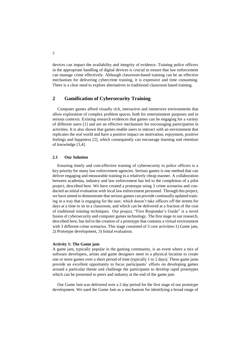devices can impact the availability and integrity of evidence. Training police officers in the appropriate handling of digital devices is crucial to ensure that law enforcement can manage crime effectively. Although classroom-based training can be an effective mechanism for delivering cybercrime training, it is expensive and time consuming. There is a clear need to explore alternatives to traditional classroom based training.

## **2 Gamification of Cybersecurity Training**

Computer games afford visually rich, interactive and immersive environments that allow exploration of complex problem spaces, both for entertainment purposes and in serious contexts. Existing research evidences that games can be engaging for a variety of different users [1] and are an effective mechanism for encouraging participation in activities. It is also shown that games enable users to interact with an environment that replicates the real world and have a positive impact on motivation, enjoyment, positive feelings and happiness [2], which consequently can encourage learning and retention of knowledge [3,4].

#### **2.1 Our Solution**

Ensuring timely and cost-effective training of cybersecurity to police officers is a key priority for many law enforcement agencies. Serious games is one method that can deliver engaging and measurable training in a relatively cheap manner. A collaboration between academia, industry and law enforcement has led to the completion of a pilot project, described here. We have created a prototype using 3 crime scenarios and conducted an initial evaluation with local law enforcement personnel. Through this project, we have aimed to demonstrate that serious games can provide continually updated training in a way that is engaging for the user, which doesn't take officers off the streets for days at a time to sit in a classroom, and which can be delivered at a fraction of the cost of traditional training techniques. Our project, "First Responder's Guide" is a novel fusion of cybersecurity and computer games technology. The first stage in our research, described here, has led to the creation of a prototype that contains a virtual environment with 3 different crime scenarios. This stage consisted of 3 core activities: 1) Game jam, 2) Prototype development, 3) Initial evaluation.

#### **Activity 1: The Game jam**

A game jam, typically popular in the gaming community, is an event where a mix of software developers, artists and game designers meet in a physical location to create one or more games over a short period of time (typically 1 to 2 days). These game jams provide an excellent opportunity to focus participants' efforts on developing games around a particular theme and challenge the participants to develop rapid prototypes which can be presented to peers and industry at the end of the game jam.

Our Game Jam was delivered over a 2 day period for the first stage of our prototype development. We used the Game Jam as a mechanism for identifying a broad range of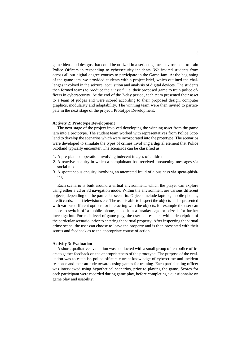game ideas and designs that could be utilized in a serious games environment to train Police Officers in responding to cybersecurity incidents. We invited students from across all our digital degree courses to participate in the Game Jam. At the beginning of the game jam, we provided students with a project brief, which outlined the challenges involved in the seizure, acquisition and analysis of digital devices. The students then formed teams to produce their 'asset', i.e. their proposed game to train police officers in cybersecurity. At the end of the 2-day period, each team presented their asset to a team of judges and were scored according to their proposed design, computer graphics, modularity and adaptability. The winning team were then invited to participate in the next stage of the project: Prototype Development.

#### **Activity 2: Prototype Development**

The next stage of the project involved developing the winning asset from the game jam into a prototype. The student team worked with representatives from Police Scotland to develop the scenarios which were incorporated into the prototype. The scenarios were developed to simulate the types of crimes involving a digital element that Police Scotland typically encounter. The scenarios can be classified as:

- 1. A pre-planned operation involving indecent images of children
- 2. A reactive enquiry in which a complainant has received threatening messages via social media.
- 3. A spontaneous enquiry involving an attempted fraud of a business via spear-phishing.

Each scenario is built around a virtual environment, which the player can explore using either a 2d or 3d navigation mode. Within the environment are various different objects, depending on the particular scenario. Objects include laptops, mobile phones, credit cards, smart televisions etc. The user is able to inspect the objects and is presented with various different options for interacting with the objects, for example the user can chose to switch off a mobile phone, place it in a faraday cage or seize it for further investigation. For each level of game play, the user is presented with a description of the particular scenario, prior to entering the virtual property. After inspecting the virtual crime scene, the user can choose to leave the property and is then presented with their scores and feedback as to the appropriate course of action.

#### **Activity 3: Evaluation**

A short, qualitative evaluation was conducted with a small group of ten police officers to gather feedback on the appropriateness of the prototype. The purpose of the evaluation was to establish police officers current knowledge of cybercrime and incident response and their attitude towards using games for training. Each participating officer was interviewed using hypothetical scenarios, prior to playing the game. Scores for each participant were recorded during game play, before completing a questionnaire on game play and usability.